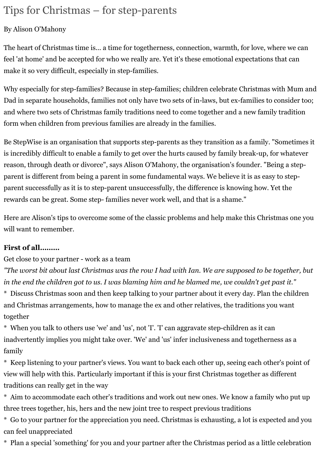# Tips for Christmas – for step-parents

## By Alison O'Mahony

The heart of Christmas time is... a time for togetherness, connection, warmth, for love, where we can feel 'at home' and be accepted for who we really are. Yet it's these emotional expectations that can make it so very difficult, especially in step-families.

Why especially for step-families? Because in step-families; children celebrate Christmas with Mum and Dad in separate households, families not only have two sets of in-laws, but ex-families to consider too; and where two sets of Christmas family traditions need to come together and a new family tradition form when children from previous families are already in the families.

Be StepWise is an organisation that supports step-parents as they transition as a family. "Sometimes it is incredibly difficult to enable a family to get over the hurts caused by family break-up, for whatever reason, through death or divorce", says Alison O'Mahony, the organisation's founder. "Being a stepparent is different from being a parent in some fundamental ways. We believe it is as easy to stepparent successfully as it is to step-parent unsuccessfully, the difference is knowing how. Yet the rewards can be great. Some step- families never work well, and that is a shame."

Here are Alison's tips to overcome some of the classic problems and help make this Christmas one you will want to remember.

## **First of all………**

Get close to your partner - work as a team

*"The worst bit about last Christmas was the row I had with Ian. We are supposed to be together, but in the end the children got to us. I was blaming him and he blamed me, we couldn't get past it."* \* Discuss Christmas soon and then keep talking to your partner about it every day. Plan the children and Christmas arrangements, how to manage the ex and other relatives, the traditions you want together

\* When you talk to others use 'we' and 'us', not 'I'. 'I' can aggravate step-children as it can inadvertently implies you might take over. 'We' and 'us' infer inclusiveness and togetherness as a family

\* Keep listening to your partner's views. You want to back each other up, seeing each other's point of view will help with this. Particularly important if this is your first Christmas together as different traditions can really get in the way

\* Aim to accommodate each other's traditions and work out new ones. We know a family who put up three trees together, his, hers and the new joint tree to respect previous traditions

\* Go to your partner for the appreciation you need. Christmas is exhausting, a lot is expected and you can feel unappreciated

\* Plan a special 'something' for you and your partner after the Christmas period as a little celebration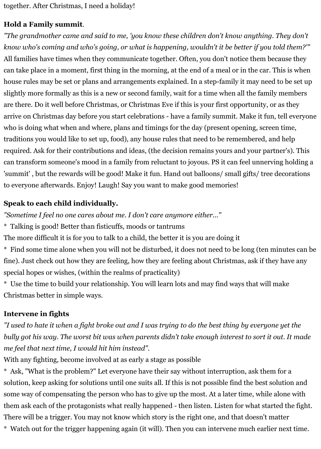together. After Christmas, I need a holiday!

# **Hold a Family summit**.

*"The grandmother came and said to me, 'you know these children don't know anything. They don't know who's coming and who's going, or what is happening, wouldn't it be better if you told them?'"* All families have times when they communicate together. Often, you don't notice them because they can take place in a moment, first thing in the morning, at the end of a meal or in the car. This is when house rules may be set or plans and arrangements explained. In a step-family it may need to be set up slightly more formally as this is a new or second family, wait for a time when all the family members are there. Do it well before Christmas, or Christmas Eve if this is your first opportunity, or as they arrive on Christmas day before you start celebrations - have a family summit. Make it fun, tell everyone who is doing what when and where, plans and timings for the day (present opening, screen time, traditions you would like to set up, food), any house rules that need to be remembered, and help required. Ask for their contributions and ideas, (the decision remains yours and your partner's). This can transform someone's mood in a family from reluctant to joyous. PS it can feel unnerving holding a 'summit' , but the rewards will be good! Make it fun. Hand out balloons/ small gifts/ tree decorations to everyone afterwards. Enjoy! Laugh! Say you want to make good memories!

## **Speak to each child individually.**

*"Sometime I feel no one cares about me. I don't care anymore either..."*

\* Talking is good! Better than fisticuffs, moods or tantrums

The more difficult it is for you to talk to a child, the better it is you are doing it

\* Find some time alone when you will not be disturbed, it does not need to be long (ten minutes can be fine). Just check out how they are feeling, how they are feeling about Christmas, ask if they have any special hopes or wishes, (within the realms of practicality)

\* Use the time to build your relationship. You will learn lots and may find ways that will make Christmas better in simple ways.

## **Intervene in fights**

*"I used to hate it when a fight broke out and I was trying to do the best thing by everyone yet the bully got his way. The worst bit was when parents didn't take enough interest to sort it out. It made me feel that next time, I would hit him instead".*

With any fighting, become involved at as early a stage as possible

\* Ask, "What is the problem?" Let everyone have their say without interruption, ask them for a solution, keep asking for solutions until one suits all. If this is not possible find the best solution and some way of compensating the person who has to give up the most. At a later time, while alone with them ask each of the protagonists what really happened - then listen. Listen for what started the fight. There will be a trigger. You may not know which story is the right one, and that doesn't matter \* Watch out for the trigger happening again (it will). Then you can intervene much earlier next time.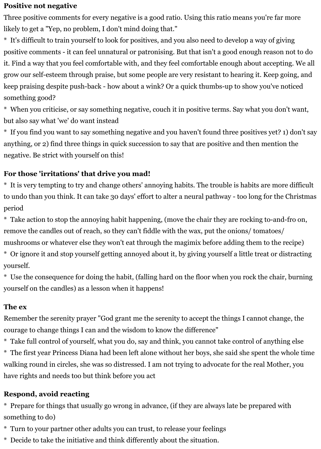#### **Positive not negative**

Three positive comments for every negative is a good ratio. Using this ratio means you're far more likely to get a "Yep, no problem, I don't mind doing that."

\* It's difficult to train yourself to look for positives, and you also need to develop a way of giving positive comments - it can feel unnatural or patronising. But that isn't a good enough reason not to do it. Find a way that you feel comfortable with, and they feel comfortable enough about accepting. We all grow our self-esteem through praise, but some people are very resistant to hearing it. Keep going, and keep praising despite push-back - how about a wink? Or a quick thumbs-up to show you've noticed something good?

\* When you criticise, or say something negative, couch it in positive terms. Say what you don't want, but also say what 'we' do want instead

\* If you find you want to say something negative and you haven't found three positives yet? 1) don't say anything, or 2) find three things in quick succession to say that are positive and then mention the negative. Be strict with yourself on this!

## **For those 'irritations' that drive you mad!**

\* It is very tempting to try and change others' annoying habits. The trouble is habits are more difficult to undo than you think. It can take 30 days' effort to alter a neural pathway - too long for the Christmas period

\* Take action to stop the annoying habit happening, (move the chair they are rocking to-and-fro on, remove the candles out of reach, so they can't fiddle with the wax, put the onions/ tomatoes/

mushrooms or whatever else they won't eat through the magimix before adding them to the recipe)

\* Or ignore it and stop yourself getting annoyed about it, by giving yourself a little treat or distracting yourself.

\* Use the consequence for doing the habit, (falling hard on the floor when you rock the chair, burning yourself on the candles) as a lesson when it happens!

#### **The ex**

Remember the serenity prayer "God grant me the serenity to accept the things I cannot change, the courage to change things I can and the wisdom to know the difference"

\* Take full control of yourself, what you do, say and think, you cannot take control of anything else \* The first year Princess Diana had been left alone without her boys, she said she spent the whole time walking round in circles, she was so distressed. I am not trying to advocate for the real Mother, you have rights and needs too but think before you act

## **Respond, avoid reacting**

\* Prepare for things that usually go wrong in advance, (if they are always late be prepared with something to do)

\* Turn to your partner other adults you can trust, to release your feelings

\* Decide to take the initiative and think differently about the situation.